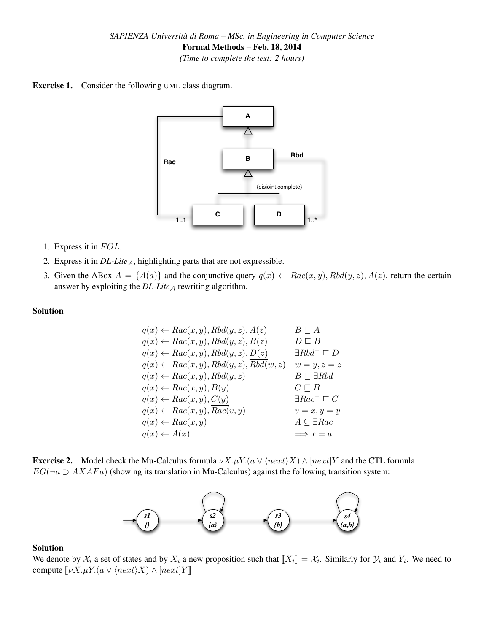*(Time to complete the test: 2 hours)*





- 1. Express it in  $FOL$ .
- 2. Express it in *DL-Lite*A, highlighting parts that are not expressible.
- 3. Given the ABox  $A = \{A(a)\}\$ and the conjunctive query  $q(x) \leftarrow Rac(x, y)$ ,  $Rbd(y, z)$ ,  $A(z)$ , return the certain answer by exploiting the  $DL\text{-}Lie_A$  rewriting algorithm.

### Solution

$$
q(x) \leftarrow Rac(x, y), Rbd(y, z), A(z) \t B \sqsubseteq Aq(x) \leftarrow Rac(x, y), Rbd(y, z), B(z) \t D \sqsubseteq Bq(x) \leftarrow Rac(x, y), Rbd(y, z), D(z) \t \exists Rbd \sqsubseteq Dq(x) \leftarrow Rac(x, y), Rbd(y, z), Bbd(w, z) \t w = y, z = zq(x) \leftarrow Rac(x, y), Bbd(y, z) \t B \sqsubseteq \exists Rbdq(x) \leftarrow Rac(x, y), B(y) \t C \sqsubseteq Bq(x) \leftarrow Rac(x, y), C(y) \t \exists Rac \sqsubseteq Cq(x) \leftarrow Rac(x, y), Bac(v, y) \t w = x, y = yq(x) \leftarrow \overline{Rac(x, y)}q(x) \leftarrow \overline{A(x)}Q(x) \leftarrow \overline{A(x)}Q(x) \leftarrow \overline{A(x)}Q(x) \leftarrow \overline{A(x)}Q(x) \leftarrow \overline{A(x)}Q(x) \leftarrow \overline{A(x)}Q(x) \leftarrow \overline{A(x)}Q(x) \leftarrow \overline{A(x)}Q(x) \leftarrow \overline{A(x)}Q(x) \leftarrow \overline{A(x)}Q(x) \leftarrow \overline{A(x)}Q(x) \leftarrow \overline{A(x)}Q(x) \leftarrow \overline{A(x)}Q(x) \leftarrow \overline{A(x)}Q(x) \leftarrow \overline{A(x)}Q(x) \leftarrow \overline{A(x)}Q(x) \leftarrow \overline{A(x)}Q(x) \leftarrow \overline{A(x)}Q(x) \leftarrow \overline{A(x)}Q(x) \leftarrow \overline{A(x)}Q(x) \leftarrow \overline{A(x)}Q(x) \leftarrow \overline{A(x)}Q(x) \leftarrow \overline{A(x)}Q(x) \leftarrow \overline{A(x)}Q(x) \leftarrow \overline{A(x)}Q(x) \leftarrow \overline{A(x)}Q(x) \leftarrow \overline{A(x)}Q(x) \leftarrow \overline{A(x)}Q(x) \leftarrow \overline{A(x)}Q(x) \leftarrow \overline{A(x)}Q(x) \leftarrow \overline{A(x)}Q(x) \leftarrow \overline{A(x)}
$$

**Exercise 2.** Model check the Mu-Calculus formula  $\nu X.\mu Y.(a \vee \langle next \rangle X) \wedge [next]Y$  and the CTL formula  $EG(\neg a \supset AXAFa)$  (showing its translation in Mu-Calculus) against the following transition system:



#### Solution

We denote by  $\mathcal{X}_i$  a set of states and by  $X_i$  a new proposition such that  $[[X_i]] = \mathcal{X}_i$ . Similarly for  $\mathcal{Y}_i$  and  $Y_i$ . We need to compute  $[[X_i] \cup [X_i] \cup [X_i] \cup [X_i]$ compute  $[\![\nu X.\mu Y. (a \vee \langle next \rangle X) \wedge [next]Y]\!]$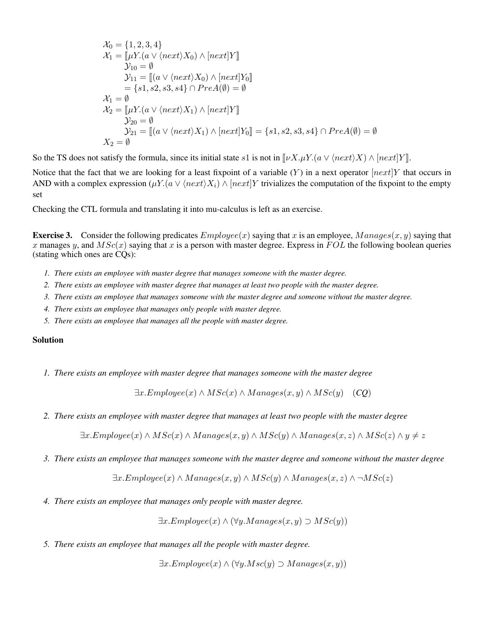$$
\mathcal{X}_0 = \{1, 2, 3, 4\}
$$
  
\n
$$
\mathcal{X}_1 = [\![\mu Y. (a \lor \langle next \rangle X_0) \land [next]Y]\!]
$$
  
\n
$$
\mathcal{Y}_{10} = \emptyset
$$
  
\n
$$
\mathcal{Y}_{11} = [\![a \lor \langle next \rangle X_0) \land [next]Y_0]\!]
$$
  
\n
$$
= \{s1, s2, s3, s4\} \cap PreA(\emptyset) = \emptyset
$$
  
\n
$$
\mathcal{X}_1 = \emptyset
$$
  
\n
$$
\mathcal{X}_2 = [\![\mu Y. (a \lor \langle next \rangle X_1) \land [next]Y]\!]
$$
  
\n
$$
\mathcal{Y}_{20} = \emptyset
$$
  
\n
$$
\mathcal{Y}_{21} = [\![a \lor \langle next \rangle X_1) \land [next]Y_0]\!] = \{s1, s2, s3, s4\} \cap PreA(\emptyset) = \emptyset
$$
  
\n
$$
X_2 = \emptyset
$$

So the TS does not satisfy the formula, since its initial state s1 is not in  $[\![\nu X.\mu Y. (a \lor \langle next \rangle X) \land [next]Y]\!]$ .

Notice that the fact that we are looking for a least fixpoint of a variable  $(Y)$  in a next operator  $[next]Y$  that occurs in AND with a complex expression  $(\mu Y.(a \vee \langle next \rangle X_i) \wedge [next]Y$  trivializes the computation of the fixpoint to the empty set

Checking the CTL formula and translating it into mu-calculus is left as an exercise.

**Exercise 3.** Consider the following predicates  $Employee(x)$  saying that x is an employee,  $Management(x, y)$  saying that x manages y, and  $MSC(x)$  saying that x is a person with master degree. Express in  $FOL$  the following boolean queries (stating which ones are CQs):

- *1. There exists an employee with master degree that manages someone with the master degree.*
- *2. There exists an employee with master degree that manages at least two people with the master degree.*
- *3. There exists an employee that manages someone with the master degree and someone without the master degree.*
- *4. There exists an employee that manages only people with master degree.*
- *5. There exists an employee that manages all the people with master degree.*

### Solution

*1. There exists an employee with master degree that manages someone with the master degree*

$$
\exists x. Employee(x) \land MSc(x) \land Manages(x, y) \land MSc(y) \quad (CQ)
$$

*2. There exists an employee with master degree that manages at least two people with the master degree*

 $\exists x.Employee(x) \land MSc(x) \land Manages(x, y) \land MSc(y) \land Manages(x, z) \land MSc(z) \land y \neq z$ 

*3. There exists an employee that manages someone with the master degree and someone without the master degree*

$$
\exists x. Employee(x) \land Manages(x, y) \land MSC(y) \land Manages(x, z) \land \neg MSc(z)
$$

*4. There exists an employee that manages only people with master degree.*

 $\exists x. Employee(x) \land (\forall y. Management(x, y) \supset \textit{MSC}(y))$ 

*5. There exists an employee that manages all the people with master degree.*

 $\exists x. Employee(x) \land (\forall y. Msc(y) \supset Manaqes(x, y))$